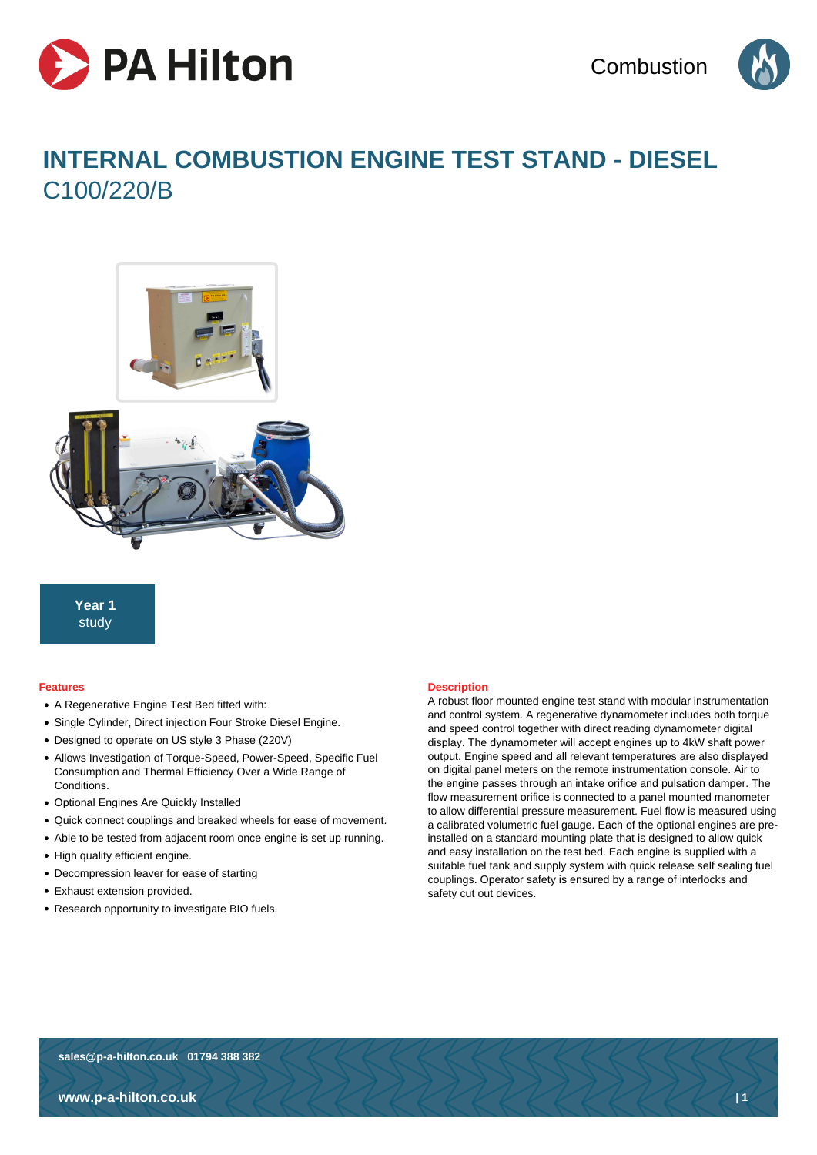



# **INTERNAL COMBUSTION ENGINE TEST STAND - DIESEL** C100/220/B



**Year 1** study

#### **Features**

- A Regenerative Engine Test Bed fitted with:
- Single Cylinder, Direct injection Four Stroke Diesel Engine.
- Designed to operate on US style 3 Phase (220V)
- Allows Investigation of Torque-Speed, Power-Speed, Specific Fuel Consumption and Thermal Efficiency Over a Wide Range of Conditions.
- Optional Engines Are Quickly Installed
- Quick connect couplings and breaked wheels for ease of movement.
- Able to be tested from adjacent room once engine is set up running.
- High quality efficient engine.
- Decompression leaver for ease of starting
- Exhaust extension provided.
- Research opportunity to investigate BIO fuels.

#### **Description**

A robust floor mounted engine test stand with modular instrumentation and control system. A regenerative dynamometer includes both torque and speed control together with direct reading dynamometer digital display. The dynamometer will accept engines up to 4kW shaft power output. Engine speed and all relevant temperatures are also displayed on digital panel meters on the remote instrumentation console. Air to the engine passes through an intake orifice and pulsation damper. The flow measurement orifice is connected to a panel mounted manometer to allow differential pressure measurement. Fuel flow is measured using a calibrated volumetric fuel gauge. Each of the optional engines are preinstalled on a standard mounting plate that is designed to allow quick and easy installation on the test bed. Each engine is supplied with a suitable fuel tank and supply system with quick release self sealing fuel couplings. Operator safety is ensured by a range of interlocks and safety cut out devices.